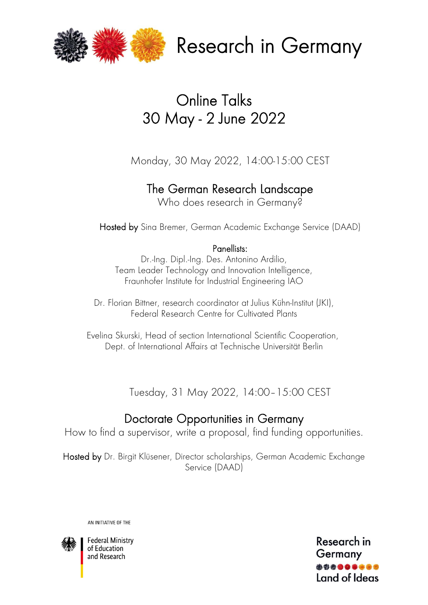

Research in Germany

# Online Talks 30 May - 2 June 2022

Monday, 30 May 2022, 14:00-15:00 CEST

## The German Research Landscape

Who does research in Germany?

Hosted by Sina Bremer, German Academic Exchange Service (DAAD)

### Panellists:

Dr.-Ing. Dipl.-Ing. Des. Antonino Ardilio, Team Leader Technology and Innovation Intelligence, Fraunhofer Institute for Industrial Engineering IAO

Dr. Florian Bittner, research coordinator at Julius Kühn-Institut (JKI), Federal Research Centre for Cultivated Plants

Evelina Skurski, Head of section International Scientific Cooperation, Dept. of International Affairs at Technische Universität Berlin

Tuesday, 31 May 2022, 14:00–15:00 CEST

## Doctorate Opportunities in Germany

How to find a supervisor, write a proposal, find funding opportunities.

Hosted by Dr. Birgit Klüsener, Director scholarships, German Academic Exchange Service (DAAD)

AN INITIATIVE OF THE



**Federal Ministry** of Education and Research

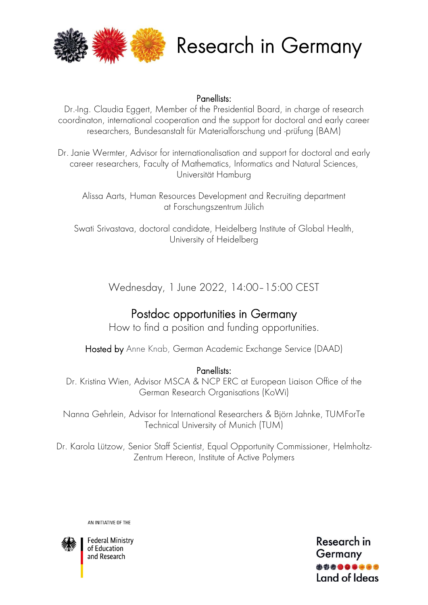



#### Panellists:

Dr.-Ing. Claudia Eggert, Member of the Presidential Board, in charge of research coordinaton, international cooperation and the support for doctoral and early career researchers, Bundesanstalt für Materialforschung und -prüfung (BAM)

Dr. Janie Wermter, Advisor for internationalisation and support for doctoral and early career researchers, Faculty of Mathematics, Informatics and Natural Sciences, Universität Hamburg

Alissa Aarts, Human Resources Development and Recruiting department at Forschungszentrum Jülich

Swati Srivastava, doctoral candidate, Heidelberg Institute of Global Health, University of Heidelberg

Wednesday, 1 June 2022, 14:00–15:00 CEST

### Postdoc opportunities in Germany

How to find a position and funding opportunities.

Hosted by Anne Knab, German Academic Exchange Service (DAAD)

#### Panellists:

Dr. Kristina Wien, Advisor MSCA & NCP ERC at European Liaison Office of the German Research Organisations (KoWi)

Nanna Gehrlein, Advisor for International Researchers & Björn Jahnke, TUMForTe Technical University of Munich (TUM)

Dr. Karola Lützow, Senior Staff Scientist, Equal Opportunity Commissioner, Helmholtz-Zentrum Hereon, Institute of Active Polymers

AN INITIATIVE OF THE



**Federal Ministry** of Education and Research

Research in Germany Land of Ideas